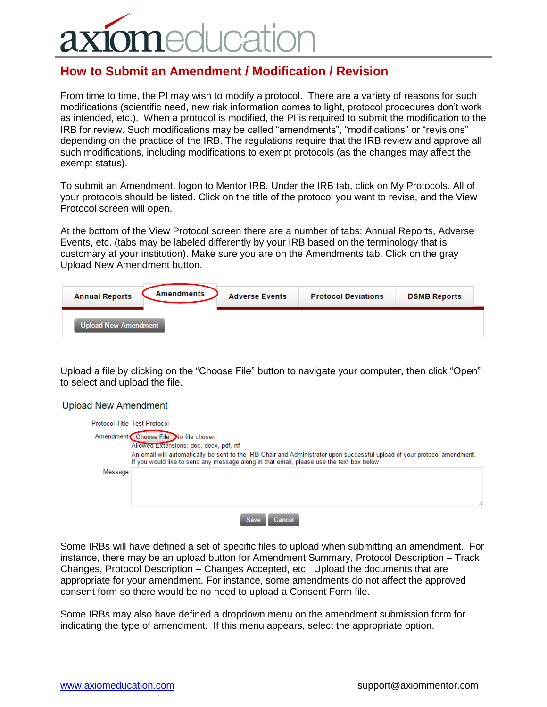## **ICatio**  $n \triangle$

## **How to Submit an Amendment / Modification / Revision**

From time to time, the PI may wish to modify a protocol. There are a variety of reasons for such modifications (scientific need, new risk information comes to light, protocol procedures don't work as intended, etc.). When a protocol is modified, the PI is required to submit the modification to the IRB for review. Such modifications may be called "amendments", "modifications" or "revisions" depending on the practice of the IRB. The regulations require that the IRB review and approve all such modifications, including modifications to exempt protocols (as the changes may affect the exempt status).

To submit an Amendment, logon to Mentor IRB. Under the IRB tab, click on My Protocols. All of your protocols should be listed. Click on the title of the protocol you want to revise, and the View Protocol screen will open.

At the bottom of the View Protocol screen there are a number of tabs: Annual Reports, Adverse Events, etc. (tabs may be labeled differently by your IRB based on the terminology that is customary at your institution). Make sure you are on the Amendments tab. Click on the gray Upload New Amendment button.

| <b>Annual Reports</b>       | <b>Amendments</b> | <b>Adverse Events</b> | <b>Protocol Deviations</b> | <b>DSMB Reports</b> |
|-----------------------------|-------------------|-----------------------|----------------------------|---------------------|
| <b>Upload New Amendment</b> |                   |                       |                            |                     |

Upload a file by clicking on the "Choose File" button to navigate your computer, then click "Open" to select and upload the file.

**Upload New Amendment** 

| <b>Protocol Title Test Protocol</b> |                                                                                                                                                                                                                                                                   |
|-------------------------------------|-------------------------------------------------------------------------------------------------------------------------------------------------------------------------------------------------------------------------------------------------------------------|
|                                     | Amendment Choose File No file chosen                                                                                                                                                                                                                              |
|                                     | Allowed Extensions: doc, docx, pdf, rtf<br>An email will automatically be sent to the IRB Chair and Administrator upon successful upload of your protocol amendment.<br>If you would like to send any message along in that email, please use the text box below. |
| Message                             |                                                                                                                                                                                                                                                                   |
|                                     |                                                                                                                                                                                                                                                                   |
|                                     | <b>Save</b><br><b>Cancel</b>                                                                                                                                                                                                                                      |

Some IRBs will have defined a set of specific files to upload when submitting an amendment. For instance, there may be an upload button for Amendment Summary, Protocol Description – Track Changes, Protocol Description – Changes Accepted, etc. Upload the documents that are appropriate for your amendment. For instance, some amendments do not affect the approved consent form so there would be no need to upload a Consent Form file.

Some IRBs may also have defined a dropdown menu on the amendment submission form for indicating the type of amendment. If this menu appears, select the appropriate option.